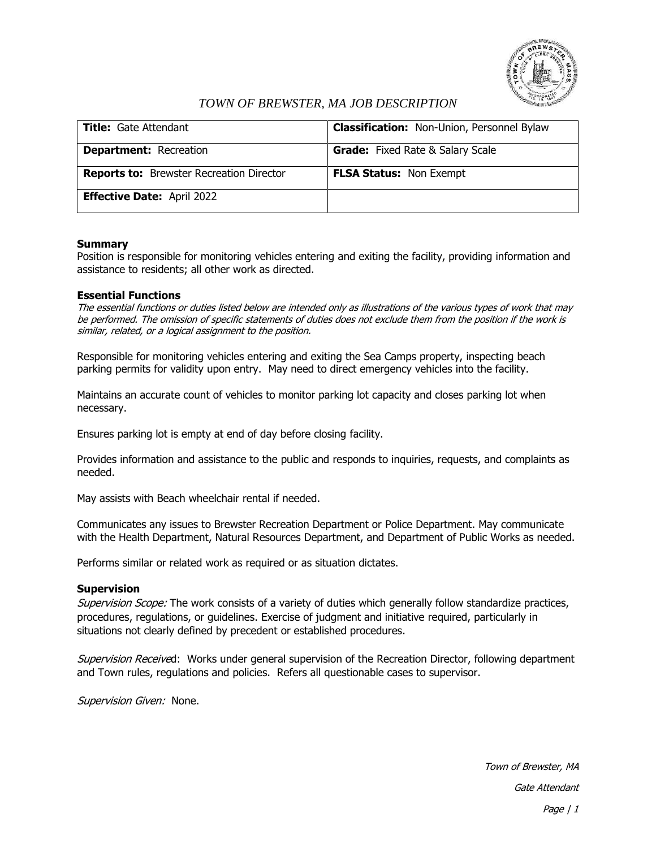

# *TOWN OF BREWSTER, MA JOB DESCRIPTION*

| <b>Title:</b> Gate Attendant                    | <b>Classification:</b> Non-Union, Personnel Bylaw |
|-------------------------------------------------|---------------------------------------------------|
| <b>Department: Recreation</b>                   | <b>Grade:</b> Fixed Rate & Salary Scale           |
| <b>Reports to:</b> Brewster Recreation Director | <b>FLSA Status: Non Exempt</b>                    |
| <b>Effective Date: April 2022</b>               |                                                   |

### **Summary**

Position is responsible for monitoring vehicles entering and exiting the facility, providing information and assistance to residents; all other work as directed.

### **Essential Functions**

The essential functions or duties listed below are intended only as illustrations of the various types of work that may be performed. The omission of specific statements of duties does not exclude them from the position if the work is similar, related, or a logical assignment to the position.

Responsible for monitoring vehicles entering and exiting the Sea Camps property, inspecting beach parking permits for validity upon entry. May need to direct emergency vehicles into the facility.

Maintains an accurate count of vehicles to monitor parking lot capacity and closes parking lot when necessary.

Ensures parking lot is empty at end of day before closing facility.

Provides information and assistance to the public and responds to inquiries, requests, and complaints as needed.

May assists with Beach wheelchair rental if needed.

Communicates any issues to Brewster Recreation Department or Police Department. May communicate with the Health Department, Natural Resources Department, and Department of Public Works as needed.

Performs similar or related work as required or as situation dictates.

#### **Supervision**

Supervision Scope: The work consists of a variety of duties which generally follow standardize practices, procedures, regulations, or guidelines. Exercise of judgment and initiative required, particularly in situations not clearly defined by precedent or established procedures.

Supervision Received: Works under general supervision of the Recreation Director, following department and Town rules, regulations and policies. Refers all questionable cases to supervisor.

Supervision Given: None.

Town of Brewster, MA Gate Attendant